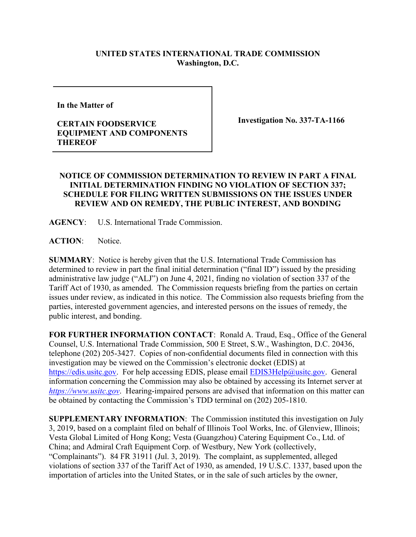## **UNITED STATES INTERNATIONAL TRADE COMMISSION Washington, D.C.**

**In the Matter of** 

## **CERTAIN FOODSERVICE EQUIPMENT AND COMPONENTS THEREOF**

**Investigation No. 337-TA-1166**

## **NOTICE OF COMMISSION DETERMINATION TO REVIEW IN PART A FINAL INITIAL DETERMINATION FINDING NO VIOLATION OF SECTION 337; SCHEDULE FOR FILING WRITTEN SUBMISSIONS ON THE ISSUES UNDER REVIEW AND ON REMEDY, THE PUBLIC INTEREST, AND BONDING**

**AGENCY**: U.S. International Trade Commission.

**ACTION**: Notice.

**SUMMARY**: Notice is hereby given that the U.S. International Trade Commission has determined to review in part the final initial determination ("final ID") issued by the presiding administrative law judge ("ALJ") on June 4, 2021, finding no violation of section 337 of the Tariff Act of 1930, as amended. The Commission requests briefing from the parties on certain issues under review, as indicated in this notice. The Commission also requests briefing from the parties, interested government agencies, and interested persons on the issues of remedy, the public interest, and bonding.

FOR FURTHER INFORMATION CONTACT: Ronald A. Traud, Esq., Office of the General Counsel, U.S. International Trade Commission, 500 E Street, S.W., Washington, D.C. 20436, telephone (202) 205-3427. Copies of non-confidential documents filed in connection with this investigation may be viewed on the Commission's electronic docket (EDIS) at [https://edis.usitc.gov.](https://edis.usitc.gov/) For help accessing EDIS, please email **EDIS3Help@usitc.gov**. General information concerning the Commission may also be obtained by accessing its Internet server at *[https://www.usitc.gov](https://www.usitc.gov/)*. Hearing-impaired persons are advised that information on this matter can be obtained by contacting the Commission's TDD terminal on (202) 205-1810.

**SUPPLEMENTARY INFORMATION**: The Commission instituted this investigation on July 3, 2019, based on a complaint filed on behalf of Illinois Tool Works, Inc. of Glenview, Illinois; Vesta Global Limited of Hong Kong; Vesta (Guangzhou) Catering Equipment Co., Ltd. of China; and Admiral Craft Equipment Corp. of Westbury, New York (collectively, "Complainants"). 84 FR 31911 (Jul. 3, 2019). The complaint, as supplemented, alleged violations of section 337 of the Tariff Act of 1930, as amended, 19 U.S.C. 1337, based upon the importation of articles into the United States, or in the sale of such articles by the owner,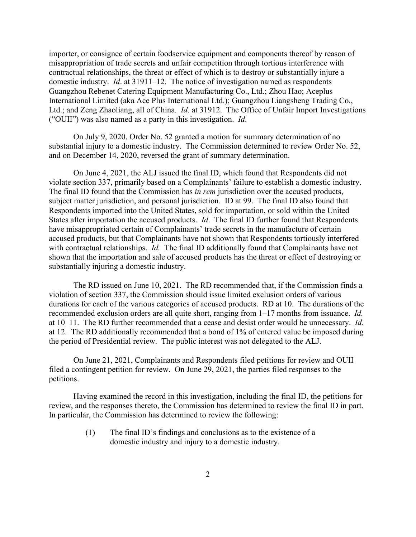importer, or consignee of certain foodservice equipment and components thereof by reason of misappropriation of trade secrets and unfair competition through tortious interference with contractual relationships, the threat or effect of which is to destroy or substantially injure a domestic industry. *Id*. at 31911–12. The notice of investigation named as respondents Guangzhou Rebenet Catering Equipment Manufacturing Co., Ltd.; Zhou Hao; Aceplus International Limited (aka Ace Plus International Ltd.); Guangzhou Liangsheng Trading Co., Ltd.; and Zeng Zhaoliang, all of China. *Id*. at 31912. The Office of Unfair Import Investigations ("OUII") was also named as a party in this investigation. *Id*.

On July 9, 2020, Order No. 52 granted a motion for summary determination of no substantial injury to a domestic industry. The Commission determined to review Order No. 52, and on December 14, 2020, reversed the grant of summary determination.

On June 4, 2021, the ALJ issued the final ID, which found that Respondents did not violate section 337, primarily based on a Complainants' failure to establish a domestic industry. The final ID found that the Commission has *in rem* jurisdiction over the accused products, subject matter jurisdiction, and personal jurisdiction. ID at 99. The final ID also found that Respondents imported into the United States, sold for importation, or sold within the United States after importation the accused products. *Id*. The final ID further found that Respondents have misappropriated certain of Complainants' trade secrets in the manufacture of certain accused products, but that Complainants have not shown that Respondents tortiously interfered with contractual relationships. *Id.* The final ID additionally found that Complainants have not shown that the importation and sale of accused products has the threat or effect of destroying or substantially injuring a domestic industry.

The RD issued on June 10, 2021. The RD recommended that, if the Commission finds a violation of section 337, the Commission should issue limited exclusion orders of various durations for each of the various categories of accused products. RD at 10. The durations of the recommended exclusion orders are all quite short, ranging from 1–17 months from issuance. *Id.*  at 10–11. The RD further recommended that a cease and desist order would be unnecessary. *Id.*  at 12. The RD additionally recommended that a bond of 1% of entered value be imposed during the period of Presidential review. The public interest was not delegated to the ALJ.

On June 21, 2021, Complainants and Respondents filed petitions for review and OUII filed a contingent petition for review. On June 29, 2021, the parties filed responses to the petitions.

Having examined the record in this investigation, including the final ID, the petitions for review, and the responses thereto, the Commission has determined to review the final ID in part. In particular, the Commission has determined to review the following:

> (1) The final ID's findings and conclusions as to the existence of a domestic industry and injury to a domestic industry.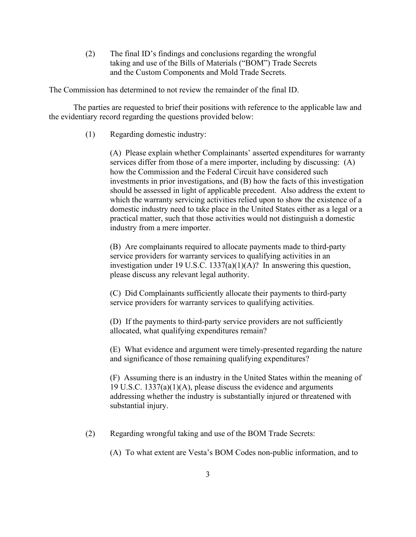(2) The final ID's findings and conclusions regarding the wrongful taking and use of the Bills of Materials ("BOM") Trade Secrets and the Custom Components and Mold Trade Secrets.

The Commission has determined to not review the remainder of the final ID.

The parties are requested to brief their positions with reference to the applicable law and the evidentiary record regarding the questions provided below:

(1) Regarding domestic industry:

(A) Please explain whether Complainants' asserted expenditures for warranty services differ from those of a mere importer, including by discussing: (A) how the Commission and the Federal Circuit have considered such investments in prior investigations, and (B) how the facts of this investigation should be assessed in light of applicable precedent. Also address the extent to which the warranty servicing activities relied upon to show the existence of a domestic industry need to take place in the United States either as a legal or a practical matter, such that those activities would not distinguish a domestic industry from a mere importer.

(B) Are complainants required to allocate payments made to third-party service providers for warranty services to qualifying activities in an investigation under 19 U.S.C. 1337(a)(1)(A)? In answering this question, please discuss any relevant legal authority.

(C) Did Complainants sufficiently allocate their payments to third-party service providers for warranty services to qualifying activities.

(D) If the payments to third-party service providers are not sufficiently allocated, what qualifying expenditures remain?

(E) What evidence and argument were timely-presented regarding the nature and significance of those remaining qualifying expenditures?

(F) Assuming there is an industry in the United States within the meaning of 19 U.S.C. 1337(a)(1)(A), please discuss the evidence and arguments addressing whether the industry is substantially injured or threatened with substantial injury.

(2) Regarding wrongful taking and use of the BOM Trade Secrets:

(A) To what extent are Vesta's BOM Codes non-public information, and to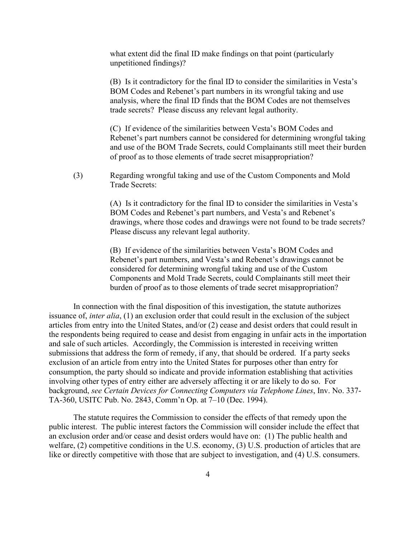what extent did the final ID make findings on that point (particularly unpetitioned findings)?

(B) Is it contradictory for the final ID to consider the similarities in Vesta's BOM Codes and Rebenet's part numbers in its wrongful taking and use analysis, where the final ID finds that the BOM Codes are not themselves trade secrets? Please discuss any relevant legal authority.

(C) If evidence of the similarities between Vesta's BOM Codes and Rebenet's part numbers cannot be considered for determining wrongful taking and use of the BOM Trade Secrets, could Complainants still meet their burden of proof as to those elements of trade secret misappropriation?

(3) Regarding wrongful taking and use of the Custom Components and Mold Trade Secrets:

> (A) Is it contradictory for the final ID to consider the similarities in Vesta's BOM Codes and Rebenet's part numbers, and Vesta's and Rebenet's drawings, where those codes and drawings were not found to be trade secrets? Please discuss any relevant legal authority.

(B) If evidence of the similarities between Vesta's BOM Codes and Rebenet's part numbers, and Vesta's and Rebenet's drawings cannot be considered for determining wrongful taking and use of the Custom Components and Mold Trade Secrets, could Complainants still meet their burden of proof as to those elements of trade secret misappropriation?

In connection with the final disposition of this investigation, the statute authorizes issuance of, *inter alia*, (1) an exclusion order that could result in the exclusion of the subject articles from entry into the United States, and/or (2) cease and desist orders that could result in the respondents being required to cease and desist from engaging in unfair acts in the importation and sale of such articles. Accordingly, the Commission is interested in receiving written submissions that address the form of remedy, if any, that should be ordered. If a party seeks exclusion of an article from entry into the United States for purposes other than entry for consumption, the party should so indicate and provide information establishing that activities involving other types of entry either are adversely affecting it or are likely to do so. For background, *see Certain Devices for Connecting Computers via Telephone Lines*, Inv. No. 337- TA-360, USITC Pub. No. 2843, Comm'n Op. at 7–10 (Dec. 1994).

The statute requires the Commission to consider the effects of that remedy upon the public interest. The public interest factors the Commission will consider include the effect that an exclusion order and/or cease and desist orders would have on: (1) The public health and welfare, (2) competitive conditions in the U.S. economy, (3) U.S. production of articles that are like or directly competitive with those that are subject to investigation, and (4) U.S. consumers.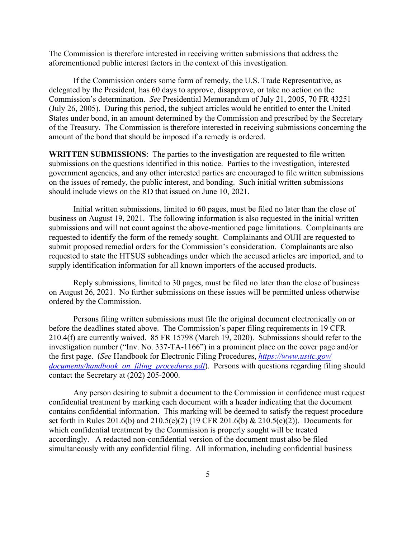The Commission is therefore interested in receiving written submissions that address the aforementioned public interest factors in the context of this investigation.

If the Commission orders some form of remedy, the U.S. Trade Representative, as delegated by the President, has 60 days to approve, disapprove, or take no action on the Commission's determination. *See* Presidential Memorandum of July 21, 2005, 70 FR 43251 (July 26, 2005). During this period, the subject articles would be entitled to enter the United States under bond, in an amount determined by the Commission and prescribed by the Secretary of the Treasury. The Commission is therefore interested in receiving submissions concerning the amount of the bond that should be imposed if a remedy is ordered.

**WRITTEN SUBMISSIONS**: The parties to the investigation are requested to file written submissions on the questions identified in this notice. Parties to the investigation, interested government agencies, and any other interested parties are encouraged to file written submissions on the issues of remedy, the public interest, and bonding. Such initial written submissions should include views on the RD that issued on June 10, 2021.

Initial written submissions, limited to 60 pages, must be filed no later than the close of business on August 19, 2021. The following information is also requested in the initial written submissions and will not count against the above-mentioned page limitations. Complainants are requested to identify the form of the remedy sought. Complainants and OUII are requested to submit proposed remedial orders for the Commission's consideration. Complainants are also requested to state the HTSUS subheadings under which the accused articles are imported, and to supply identification information for all known importers of the accused products.

Reply submissions, limited to 30 pages, must be filed no later than the close of business on August 26, 2021. No further submissions on these issues will be permitted unless otherwise ordered by the Commission.

Persons filing written submissions must file the original document electronically on or before the deadlines stated above. The Commission's paper filing requirements in 19 CFR 210.4(f) are currently waived. 85 FR 15798 (March 19, 2020). Submissions should refer to the investigation number ("Inv. No. 337-TA-1166") in a prominent place on the cover page and/or the first page. (*See* Handbook for Electronic Filing Procedures, *[https://www.usitc.gov/](https://www.usitc.gov/documents/handbook_on_filing_procedures.pdf) documents/handbook on filing procedures.pdf*). Persons with questions regarding filing should contact the Secretary at (202) 205-2000.

Any person desiring to submit a document to the Commission in confidence must request confidential treatment by marking each document with a header indicating that the document contains confidential information. This marking will be deemed to satisfy the request procedure set forth in Rules 201.6(b) and 210.5(e)(2) (19 CFR 201.6(b) & 210.5(e)(2)). Documents for which confidential treatment by the Commission is properly sought will be treated accordingly. A redacted non-confidential version of the document must also be filed simultaneously with any confidential filing. All information, including confidential business